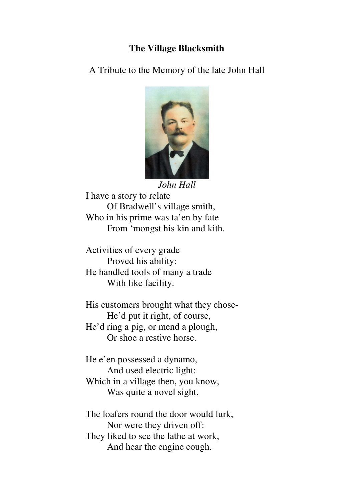## **The Village Blacksmith**

A Tribute to the Memory of the late John Hall



*John Hall*  I have a story to relate Of Bradwell's village smith, Who in his prime was ta'en by fate From 'mongst his kin and kith.

Activities of every grade Proved his ability: He handled tools of many a trade With like facility.

His customers brought what they chose- He'd put it right, of course, He'd ring a pig, or mend a plough, Or shoe a restive horse.

He e'en possessed a dynamo, And used electric light: Which in a village then, you know, Was quite a novel sight.

The loafers round the door would lurk, Nor were they driven off: They liked to see the lathe at work, And hear the engine cough.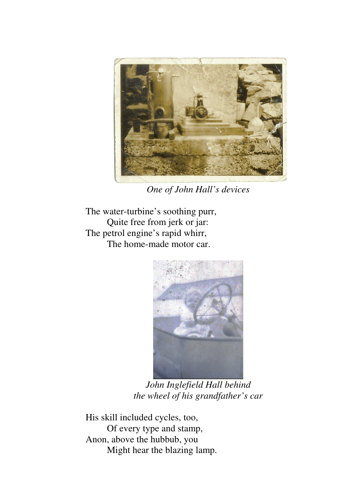

*One of John Hall's devices* 

The water-turbine's soothing purr, Quite free from jerk or jar: The petrol engine's rapid whirr, The home-made motor car.



*John Inglefield Hall behind the wheel of his grandfather's car* 

His skill included cycles, too, Of every type and stamp, Anon, above the hubbub, you Might hear the blazing lamp.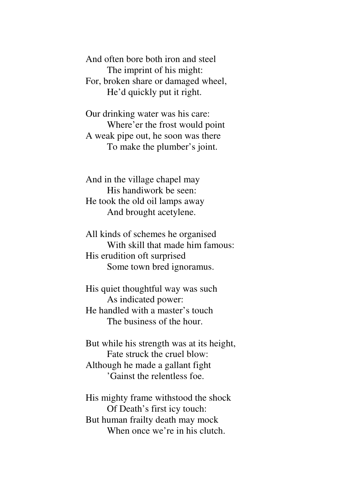And often bore both iron and steel The imprint of his might: For, broken share or damaged wheel, He'd quickly put it right.

Our drinking water was his care: Where'er the frost would point A weak pipe out, he soon was there To make the plumber's joint.

And in the village chapel may His handiwork be seen: He took the old oil lamps away And brought acetylene.

All kinds of schemes he organised With skill that made him famous: His erudition oft surprised Some town bred ignoramus.

His quiet thoughtful way was such As indicated power: He handled with a master's touch The business of the hour.

But while his strength was at its height, Fate struck the cruel blow: Although he made a gallant fight 'Gainst the relentless foe.

His mighty frame withstood the shock Of Death's first icy touch: But human frailty death may mock When once we're in his clutch.